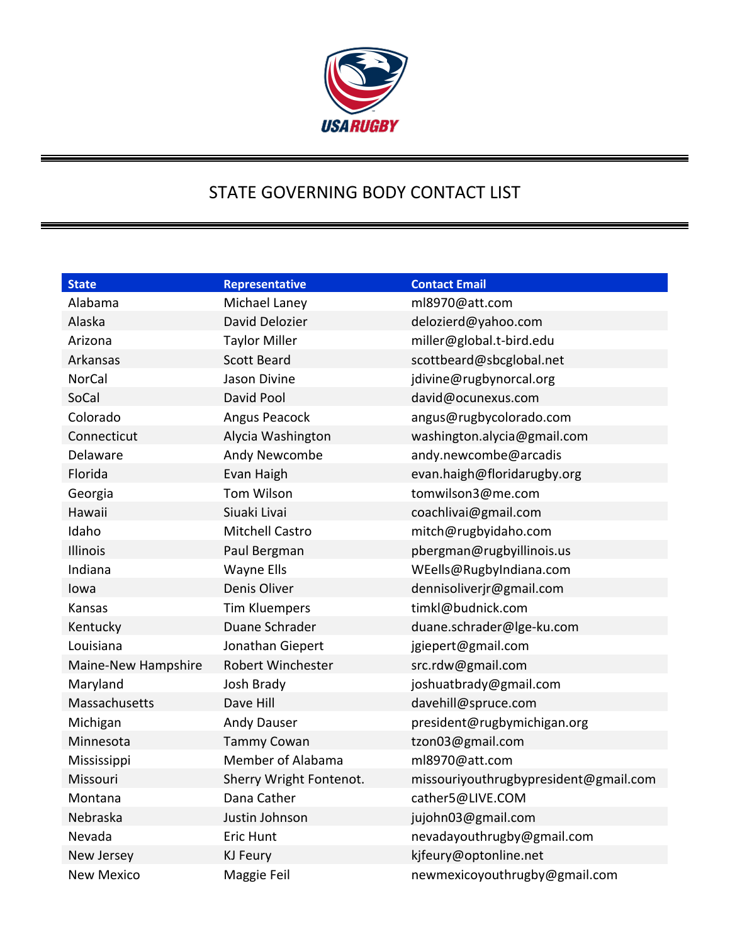

## STATE GOVERNING BODY CONTACT LIST

| <b>State</b>        | Representative           | <b>Contact Email</b>                  |
|---------------------|--------------------------|---------------------------------------|
| Alabama             | Michael Laney            | ml8970@att.com                        |
| Alaska              | David Delozier           | delozierd@yahoo.com                   |
| Arizona             | <b>Taylor Miller</b>     | miller@global.t-bird.edu              |
| Arkansas            | <b>Scott Beard</b>       | scottbeard@sbcglobal.net              |
| <b>NorCal</b>       | Jason Divine             | jdivine@rugbynorcal.org               |
| SoCal               | David Pool               | david@ocunexus.com                    |
| Colorado            | Angus Peacock            | angus@rugbycolorado.com               |
| Connecticut         | Alycia Washington        | washington.alycia@gmail.com           |
| Delaware            | Andy Newcombe            | andy.newcombe@arcadis                 |
| Florida             | Evan Haigh               | evan.haigh@floridarugby.org           |
| Georgia             | <b>Tom Wilson</b>        | tomwilson3@me.com                     |
| Hawaii              | Siuaki Livai             | coachlivai@gmail.com                  |
| Idaho               | <b>Mitchell Castro</b>   | mitch@rugbyidaho.com                  |
| Illinois            | Paul Bergman             | pbergman@rugbyillinois.us             |
| Indiana             | <b>Wayne Ells</b>        | WEells@RugbyIndiana.com               |
| lowa                | Denis Oliver             | dennisoliverjr@gmail.com              |
| Kansas              | <b>Tim Kluempers</b>     | timkl@budnick.com                     |
| Kentucky            | Duane Schrader           | duane.schrader@lge-ku.com             |
| Louisiana           | Jonathan Giepert         | jgiepert@gmail.com                    |
| Maine-New Hampshire | <b>Robert Winchester</b> | src.rdw@gmail.com                     |
| Maryland            | Josh Brady               | joshuatbrady@gmail.com                |
| Massachusetts       | Dave Hill                | davehill@spruce.com                   |
| Michigan            | Andy Dauser              | president@rugbymichigan.org           |
| Minnesota           | <b>Tammy Cowan</b>       | tzon03@gmail.com                      |
| Mississippi         | Member of Alabama        | ml8970@att.com                        |
| Missouri            | Sherry Wright Fontenot.  | missouriyouthrugbypresident@gmail.com |
| Montana             | Dana Cather              | cather5@LIVE.COM                      |
| Nebraska            | Justin Johnson           | jujohn03@gmail.com                    |
| Nevada              | Eric Hunt                | nevadayouthrugby@gmail.com            |
| New Jersey          | <b>KJ Feury</b>          | kjfeury@optonline.net                 |
| <b>New Mexico</b>   | Maggie Feil              | newmexicoyouthrugby@gmail.com         |